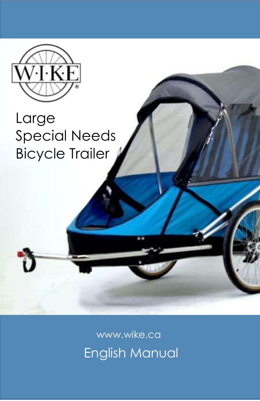

### Large Special Needs Bicycle Trailer

English Manual www.wike.ca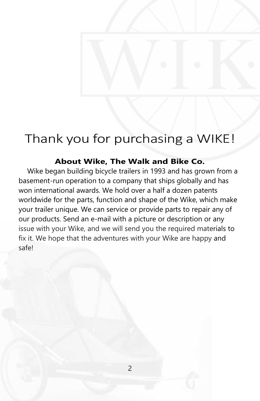### Thank you for purchasing a WIKE!

#### **About Wike, The Walk and Bike Co.**

Wike began building bicycle trailers in 1993 and has grown from a basement-run operation to a company that ships globally and has won international awards. We hold over a half a dozen patents worldwide for the parts, function and shape of the Wike, which make your trailer unique. We can service or provide parts to repair any of our products. Send an e-mail with a picture or description or any issue with your Wike, and we will send you the required materials to fix it. We hope that the adventures with your Wike are happy and safe!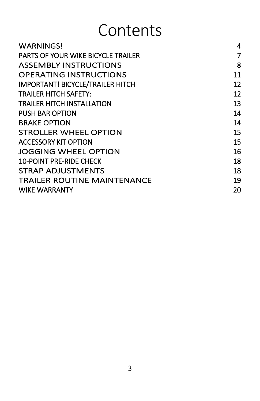# **Contents**

| <b>WARNINGS!</b>                          | 4  |
|-------------------------------------------|----|
| <b>PARTS OF YOUR WIKE BICYCLE TRAILER</b> | 7  |
| <b>ASSEMBLY INSTRUCTIONS</b>              | 8  |
| <b>OPERATING INSTRUCTIONS</b>             | 11 |
| <b>IMPORTANT! BICYCLE/TRAILER HITCH</b>   | 12 |
| <b>TRAILER HITCH SAFETY:</b>              | 12 |
| <b>TRAILER HITCH INSTALLATION</b>         | 13 |
| <b>PUSH BAR OPTION</b>                    | 14 |
| <b>BRAKE OPTION</b>                       | 14 |
| <b>STROLLER WHEEL OPTION</b>              | 15 |
| <b>ACCESSORY KIT OPTION</b>               | 15 |
| JOGGING WHEEL OPTION                      | 16 |
| <b>10-POINT PRE-RIDE CHECK</b>            | 18 |
| STRAP ADJUSTMENTS                         | 18 |
| <b>TRAILER ROUTINE MAINTENANCE</b>        | 19 |
| <b>WIKE WARRANTY</b>                      | 20 |
|                                           |    |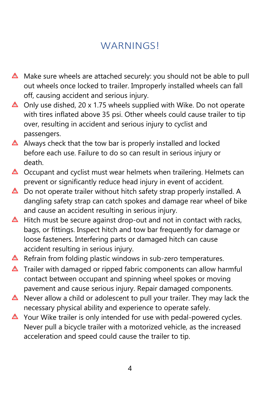#### **WARNINGS!**

- <span id="page-3-0"></span> $\triangle$  Make sure wheels are attached securely: you should not be able to pull out wheels once locked to trailer. Improperly installed wheels can fall off, causing accident and serious injury.
- $\triangle$  Only use dished, 20 x 1.75 wheels supplied with Wike. Do not operate with tires inflated above 35 psi. Other wheels could cause trailer to tip over, resulting in accident and serious injury to cyclist and passengers.
- $\triangle$  Always check that the tow bar is properly installed and locked before each use. Failure to do so can result in serious injury or death.
- $\triangle$  Occupant and cyclist must wear helmets when trailering. Helmets can prevent or significantly reduce head injury in event of accident.
- $\triangle$  Do not operate trailer without hitch safety strap properly installed. A dangling safety strap can catch spokes and damage rear wheel of bike and cause an accident resulting in serious injury.
- $\triangle$  Hitch must be secure against drop-out and not in contact with racks, bags, or fittings. Inspect hitch and tow bar frequently for damage or loose fasteners. Interfering parts or damaged hitch can cause accident resulting in serious injury.
- $\triangle$  Refrain from folding plastic windows in sub-zero temperatures.
- $\triangle$  Trailer with damaged or ripped fabric components can allow harmful contact between occupant and spinning wheel spokes or moving pavement and cause serious injury. Repair damaged components.
- $\triangle$  Never allow a child or adolescent to pull your trailer. They may lack the necessary physical ability and experience to operate safely.
- $\triangle$  Your Wike trailer is only intended for use with pedal-powered cycles. Never pull a bicycle trailer with a motorized vehicle, as the increased acceleration and speed could cause the trailer to tip.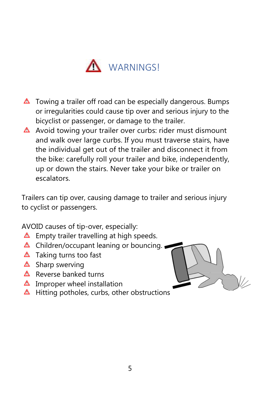

- $\triangle$  Towing a trailer off road can be especially dangerous. Bumps or irregularities could cause tip over and serious injury to the bicyclist or passenger, or damage to the trailer.
- $\triangle$  Avoid towing your trailer over curbs: rider must dismount and walk over large curbs. If you must traverse stairs, have the individual get out of the trailer and disconnect it from the bike: carefully roll your trailer and bike, independently, up or down the stairs. Never take your bike or trailer on escalators.

Trailers can tip over, causing damage to trailer and serious injury to cyclist or passengers.

AVOID causes of tip-over, especially:

- $\triangle$  Empty trailer travelling at high speeds.
- $\triangle$  Children/occupant leaning or bouncing.
- $\triangle$  Taking turns too fast
- $\triangle$  Sharp swerving
- $\triangle$  Reverse banked turns
- $\triangle$  Improper wheel installation
- $\triangle$  Hitting potholes, curbs, other obstructions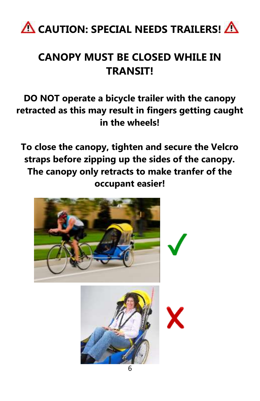

### **CANOPY MUST BE CLOSED WHILE IN TRANSIT!**

#### **DO NOT operate a bicycle trailer with the canopy retracted as this may result in fingers getting caught in the wheels!**

**To close the canopy, tighten and secure the Velcro straps before zipping up the sides of the canopy. The canopy only retracts to make tranfer of the occupant easier!**

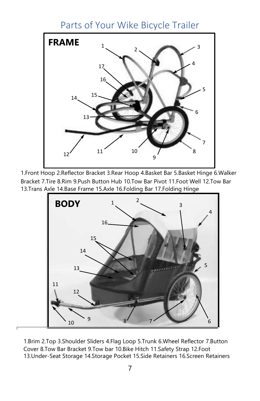#### Parts of Your Wike Bicycle Trailer

<span id="page-6-0"></span>

1.Front Hoop 2.Reflector Bracket 3.Rear Hoop 4.Basket Bar 5.Basket Hinge 6.Walker Bracket 7.Tire 8.Rim 9.Push Button Hub 10.Tow Bar Pivot 11.Foot Well 12.Tow Bar 13.Trans Axle 14.Base Frame 15.Axle 16.Folding Bar 17.Folding Hinge



1.Brim 2.Top 3.Shoulder Sliders 4.Flag Loop 5.Trunk 6.Wheel Reflector 7.Button Cover 8.Tow Bar Bracket 9.Tow bar 10.Bike Hitch 11.Safety Strap 12.Foot 13.Under-Seat Storage 14.Storage Pocket 15.Side Retainers 16.Screen Retainers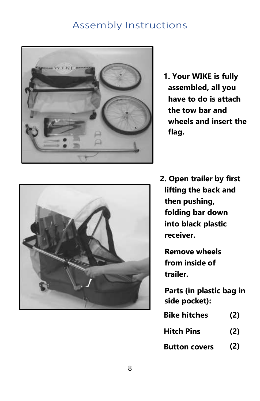#### Assembly Instructions

<span id="page-7-0"></span>

**1. Your WIKE is fully assembled, all you have to do is attach the tow bar and wheels and insert the flag.**



**2. Open trailer by first lifting the back and then pushing, folding bar down into black plastic receiver.**

**Remove wheels from inside of trailer.**

**Parts (in plastic bag in side pocket):**

| <b>Bike hitches</b>  | (2) |
|----------------------|-----|
| Hitch Pins           | (2) |
| <b>Button covers</b> | (2) |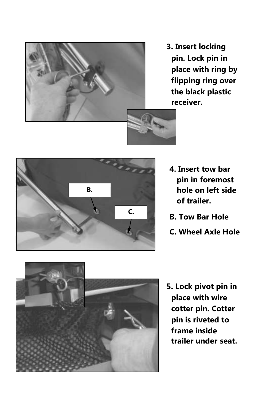

**3. Insert locking pin. Lock pin in place with ring by flipping ring over the black plastic receiver.**



- **4. Insert tow bar pin in foremost hole on left side of trailer.**
- **B. Tow Bar Hole**
- **C. Wheel Axle Hole**



**5. Lock pivot pin in place with wire cotter pin. Cotter pin is riveted to frame inside trailer under seat.**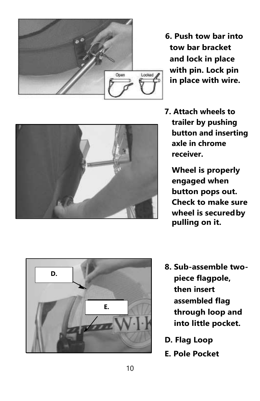

**6. Push tow bar into tow bar bracket and lock in place with pin. Lock pin in place with wire.**

**7. Attach wheels to trailer by pushing button and inserting axle in chrome receiver.**

> **Wheel is properly engaged when button pops out. Check to make sure wheel is securedby pulling on it.**



- **8. Sub -assemble two piece flagpole, then insert assembled flag through loop and into little pocket.**
- **D. Flag Loop**
- **E. Pole Pocket**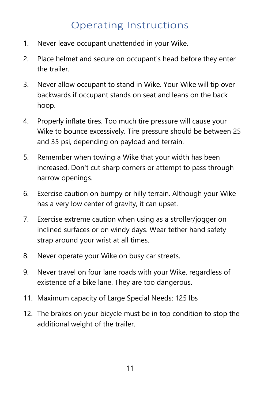#### Operating Instructions

- <span id="page-10-0"></span>1. Never leave occupant unattended in your Wike.
- 2. Place helmet and secure on occupant's head before they enter the trailer.
- 3. Never allow occupant to stand in Wike. Your Wike will tip over backwards if occupant stands on seat and leans on the back hoop.
- 4. Properly inflate tires. Too much tire pressure will cause your Wike to bounce excessively. Tire pressure should be between 25 and 35 psi, depending on payload and terrain.
- 5. Remember when towing a Wike that your width has been increased. Don't cut sharp corners or attempt to pass through narrow openings.
- 6. Exercise caution on bumpy or hilly terrain. Although your Wike has a very low center of gravity, it can upset.
- 7. Exercise extreme caution when using as a stroller/jogger on inclined surfaces or on windy days. Wear tether hand safety strap around your wrist at all times.
- 8. Never operate your Wike on busy car streets.
- 9. Never travel on four lane roads with your Wike, regardless of existence of a bike lane. They are too dangerous.
- 11. Maximum capacity of Large Special Needs: 125 lbs
- 12. The brakes on your bicycle must be in top condition to stop the additional weight of the trailer.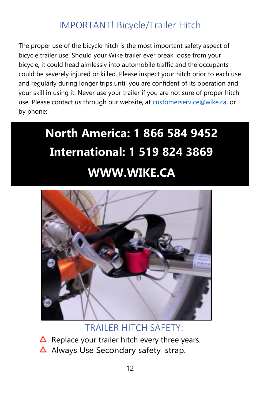#### IMPORTANT! Bicycle/Trailer Hitch

<span id="page-11-0"></span>The proper use of the bicycle hitch is the most important safety aspect of bicycle trailer use. Should your Wike trailer ever break loose from your bicycle, it could head aimlessly into automobile traffic and the occupants could be severely injured or killed. Please inspect your hitch prior to each use and regularly during longer trips until you are confident of its operation and your skill in using it. Never use your trailer if you are not sure of proper hitch use. Please contact us through our website, at [customerservice@wike.ca,](mailto:customerservice@wike.ca) or by phone:

## **North America: 1 866 584 9452 International: 1 519 824 3869 WWW.WIKE.CA**



TRAILER HITCH SAFETY:

- $\triangle$  Replace your trailer hitch every three years.
- $\triangle$  Always Use Secondary safety strap.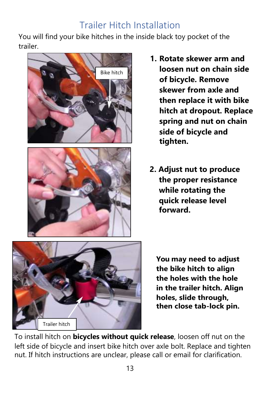#### Trailer Hitch Installation

<span id="page-12-0"></span>You will find your bike hitches in the inside black toy pocket of the trailer.



- **1. Rotate skewer arm and loosen nut on chain side of bicycle. Remove skewer from axle and then replace it with bike hitch at dropout. Replace spring and nut on chain side of bicycle and tighten.**
- **2. Adjust nut to produce the proper resistance while rotating the quick release level forward.**



**You may need to adjust the bike hitch to align the holes with the hole in the trailer hitch. Align holes, slide through, then close tab-lock pin.**

To install hitch on **bicycles without quick release**, loosen off nut on the left side of bicycle and insert bike hitch over axle bolt. Replace and tighten nut. If hitch instructions are unclear, please call or email for clarification.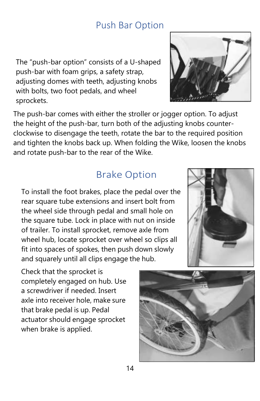#### Push Bar Option

<span id="page-13-0"></span>The "push-bar option" consists of a U-shaped push-bar with foam grips, a safety strap, adjusting domes with teeth, adjusting knobs with bolts, two foot pedals, and wheel sprockets.

The push-bar comes with either the stroller or jogger option. To adjust the height of the push-bar, turn both of the adjusting knobs counterclockwise to disengage the teeth, rotate the bar to the required position and tighten the knobs back up. When folding the Wike, loosen the knobs and rotate push-bar to the rear of the Wike.

#### Brake Option

To install the foot brakes, place the pedal over the rear square tube extensions and insert bolt from the wheel side through pedal and small hole on the square tube. Lock in place with nut on inside of trailer. To install sprocket, remove axle from wheel hub, locate sprocket over wheel so clips all fit into spaces of spokes, then push down slowly and squarely until all clips engage the hub.

Check that the sprocket is completely engaged on hub. Use a screwdriver if needed. Insert axle into receiver hole, make sure that brake pedal is up. Pedal actuator should engage sprocket when brake is applied.





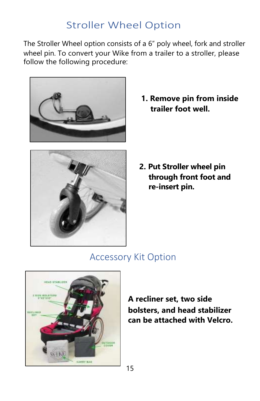#### <span id="page-14-0"></span>Stroller Wheel Option

The Stroller Wheel option consists of a 6" poly wheel, fork and stroller wheel pin. To convert your Wike from a trailer to a stroller, please follow the following procedure:





**1. Remove pin from inside trailer foot well.**

**2. Put Stroller wheel pin through front foot and re-insert pin.**

#### Accessory Kit Option



**A recliner set, two side bolsters, and head stabilizer can be attached with Velcro.**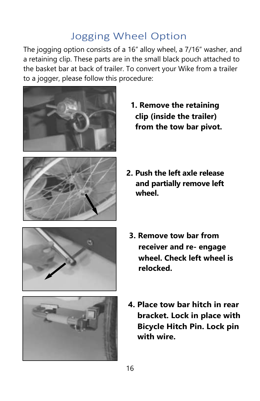#### Jogging Wheel Option

The jogging option consists of a 16" alloy wheel, a 7/16" washer, and a retaining clip. These parts are in the small black pouch attached to the basket bar at back of trailer. To convert your Wike from a trailer to a jogger, please follow this procedure:





- **1. Remove the retaining clip (inside the trailer) from the tow bar pivot.**
- **2. Push the left axle release and partially remove left wheel.**





- **3. Remove tow bar from receiver and re- engage wheel. Check left wheel is relocked.**
- **4. Place tow bar hitch in rear bracket. Lock in place with Bicycle Hitch Pin. Lock pin with wire.**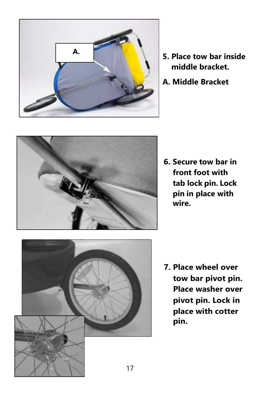

- **middle bracket.**
- **A. Middle Bracket**



**6. Secure tow bar in front foot with tab lock pin. Lock pin in place with wire.**



**7. Place wheel over tow bar pivot pin. Place washer over pivot pin. Lock in place with cotter pin.**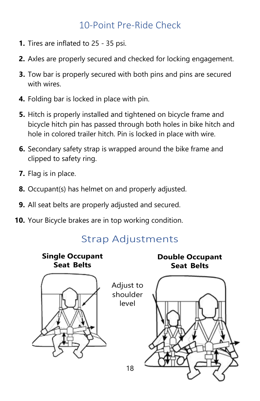#### 10-Point Pre-Ride Check

- <span id="page-17-0"></span>**1.** Tires are inflated to 25 - 35 psi.
- **2.** Axles are properly secured and checked for locking engagement.
- **3.** Tow bar is properly secured with both pins and pins are secured with wires.
- **4.** Folding bar is locked in place with pin.
- **5.** Hitch is properly installed and tightened on bicycle frame and bicycle hitch pin has passed through both holes in bike hitch and hole in colored trailer hitch. Pin is locked in place with wire.
- **6.** Secondary safety strap is wrapped around the bike frame and clipped to safety ring.
- **7.** Flag is in place.
- **8.** Occupant(s) has helmet on and properly adjusted.
- **9.** All seat belts are properly adjusted and secured.
- <span id="page-17-1"></span>**10.** Your Bicycle brakes are in top working condition.

#### Strap Adjustments

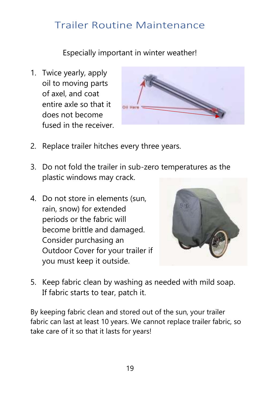#### <span id="page-18-0"></span>Trailer Routine Maintenance

Especially important in winter weather!

1. Twice yearly, apply oil to moving parts of axel, and coat entire axle so that it does not become fused in the receiver.



- 2. Replace trailer hitches every three years.
- 3. Do not fold the trailer in sub-zero temperatures as the plastic windows may crack.
- 4. Do not store in elements (sun, rain, snow) for extended periods or the fabric will become brittle and damaged. Consider purchasing an Outdoor Cover for your trailer if you must keep it outside.



5. Keep fabric clean by washing as needed with mild soap. If fabric starts to tear, patch it.

By keeping fabric clean and stored out of the sun, your trailer fabric can last at least 10 years. We cannot replace trailer fabric, so take care of it so that it lasts for years!